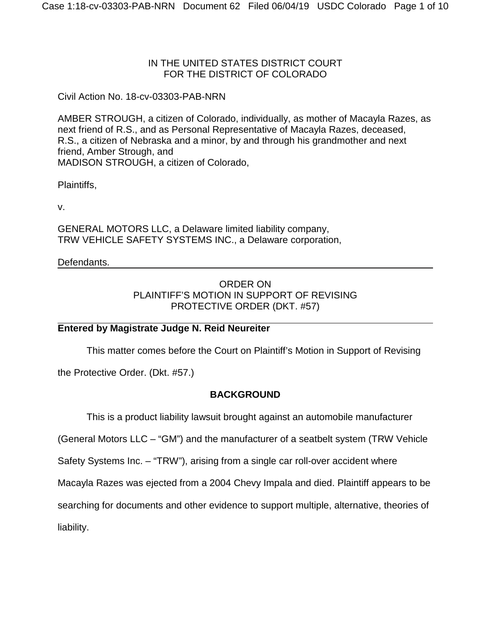#### IN THE UNITED STATES DISTRICT COURT FOR THE DISTRICT OF COLORADO

Civil Action No. 18-cv-03303-PAB-NRN

AMBER STROUGH, a citizen of Colorado, individually, as mother of Macayla Razes, as next friend of R.S., and as Personal Representative of Macayla Razes, deceased, R.S., a citizen of Nebraska and a minor, by and through his grandmother and next friend, Amber Strough, and MADISON STROUGH, a citizen of Colorado,

Plaintiffs,

v.

GENERAL MOTORS LLC, a Delaware limited liability company, TRW VEHICLE SAFETY SYSTEMS INC., a Delaware corporation,

## Defendants.

# ORDER ON PLAINTIFF'S MOTION IN SUPPORT OF REVISING PROTECTIVE ORDER (DKT. #57)

### **Entered by Magistrate Judge N. Reid Neureiter**

This matter comes before the Court on Plaintiff's Motion in Support of Revising

the Protective Order. (Dkt. #57.)

# **BACKGROUND**

This is a product liability lawsuit brought against an automobile manufacturer

(General Motors LLC – "GM") and the manufacturer of a seatbelt system (TRW Vehicle

Safety Systems Inc. – "TRW"), arising from a single car roll-over accident where

Macayla Razes was ejected from a 2004 Chevy Impala and died. Plaintiff appears to be

searching for documents and other evidence to support multiple, alternative, theories of

liability.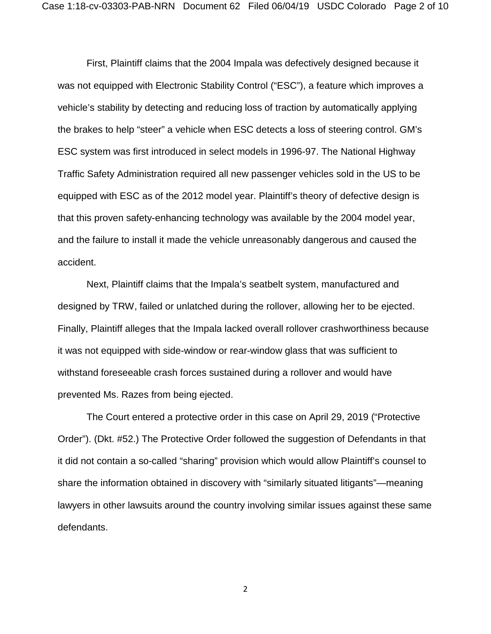First, Plaintiff claims that the 2004 Impala was defectively designed because it was not equipped with Electronic Stability Control ("ESC"), a feature which improves a vehicle's stability by detecting and reducing loss of traction by automatically applying the brakes to help "steer" a vehicle when ESC detects a loss of steering control. GM's ESC system was first introduced in select models in 1996-97. The National Highway Traffic Safety Administration required all new passenger vehicles sold in the US to be equipped with ESC as of the 2012 model year. Plaintiff's theory of defective design is that this proven safety-enhancing technology was available by the 2004 model year, and the failure to install it made the vehicle unreasonably dangerous and caused the accident.

Next, Plaintiff claims that the Impala's seatbelt system, manufactured and designed by TRW, failed or unlatched during the rollover, allowing her to be ejected. Finally, Plaintiff alleges that the Impala lacked overall rollover crashworthiness because it was not equipped with side-window or rear-window glass that was sufficient to withstand foreseeable crash forces sustained during a rollover and would have prevented Ms. Razes from being ejected.

The Court entered a protective order in this case on April 29, 2019 ("Protective Order"). (Dkt. #52.) The Protective Order followed the suggestion of Defendants in that it did not contain a so-called "sharing" provision which would allow Plaintiff's counsel to share the information obtained in discovery with "similarly situated litigants"—meaning lawyers in other lawsuits around the country involving similar issues against these same defendants.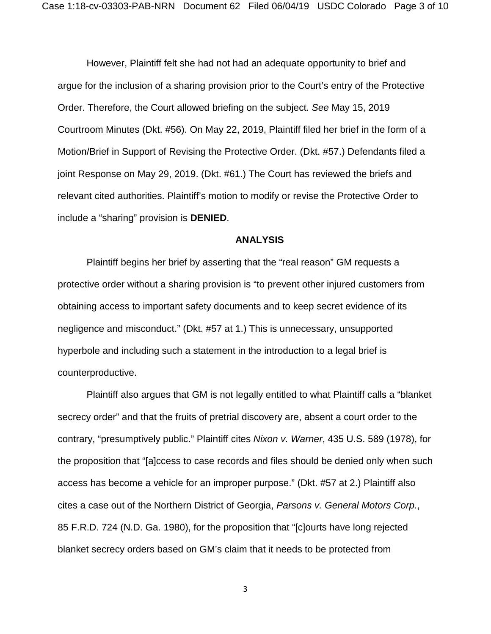However, Plaintiff felt she had not had an adequate opportunity to brief and argue for the inclusion of a sharing provision prior to the Court's entry of the Protective Order. Therefore, the Court allowed briefing on the subject. *See* May 15, 2019 Courtroom Minutes (Dkt. #56). On May 22, 2019, Plaintiff filed her brief in the form of a Motion/Brief in Support of Revising the Protective Order. (Dkt. #57.) Defendants filed a joint Response on May 29, 2019. (Dkt. #61.) The Court has reviewed the briefs and relevant cited authorities. Plaintiff's motion to modify or revise the Protective Order to include a "sharing" provision is **DENIED**.

#### **ANALYSIS**

Plaintiff begins her brief by asserting that the "real reason" GM requests a protective order without a sharing provision is "to prevent other injured customers from obtaining access to important safety documents and to keep secret evidence of its negligence and misconduct." (Dkt. #57 at 1.) This is unnecessary, unsupported hyperbole and including such a statement in the introduction to a legal brief is counterproductive.

Plaintiff also argues that GM is not legally entitled to what Plaintiff calls a "blanket secrecy order" and that the fruits of pretrial discovery are, absent a court order to the contrary, "presumptively public." Plaintiff cites *Nixon v. Warner*, 435 U.S. 589 (1978), for the proposition that "[a]ccess to case records and files should be denied only when such access has become a vehicle for an improper purpose." (Dkt. #57 at 2.) Plaintiff also cites a case out of the Northern District of Georgia, *Parsons v. General Motors Corp.*, 85 F.R.D. 724 (N.D. Ga. 1980), for the proposition that "[c]ourts have long rejected blanket secrecy orders based on GM's claim that it needs to be protected from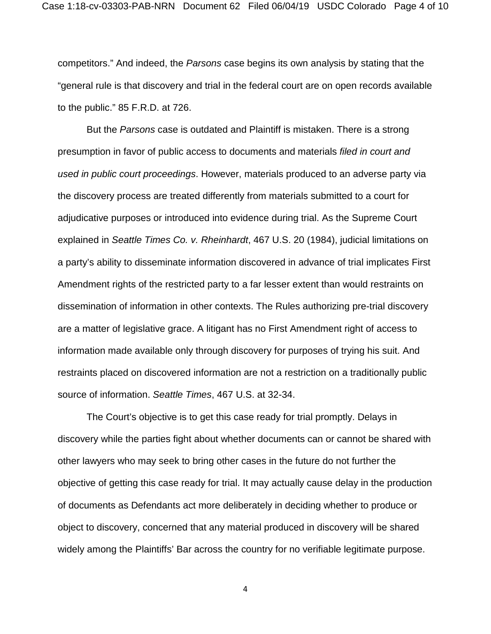competitors." And indeed, the *Parsons* case begins its own analysis by stating that the "general rule is that discovery and trial in the federal court are on open records available to the public." 85 F.R.D. at 726.

But the *Parsons* case is outdated and Plaintiff is mistaken. There is a strong presumption in favor of public access to documents and materials *filed in court and used in public court proceedings*. However, materials produced to an adverse party via the discovery process are treated differently from materials submitted to a court for adjudicative purposes or introduced into evidence during trial. As the Supreme Court explained in *Seattle Times Co. v. Rheinhardt*, 467 U.S. 20 (1984), judicial limitations on a party's ability to disseminate information discovered in advance of trial implicates First Amendment rights of the restricted party to a far lesser extent than would restraints on dissemination of information in other contexts. The Rules authorizing pre-trial discovery are a matter of legislative grace. A litigant has no First Amendment right of access to information made available only through discovery for purposes of trying his suit. And restraints placed on discovered information are not a restriction on a traditionally public source of information. *Seattle Times*, 467 U.S. at 32-34.

The Court's objective is to get this case ready for trial promptly. Delays in discovery while the parties fight about whether documents can or cannot be shared with other lawyers who may seek to bring other cases in the future do not further the objective of getting this case ready for trial. It may actually cause delay in the production of documents as Defendants act more deliberately in deciding whether to produce or object to discovery, concerned that any material produced in discovery will be shared widely among the Plaintiffs' Bar across the country for no verifiable legitimate purpose.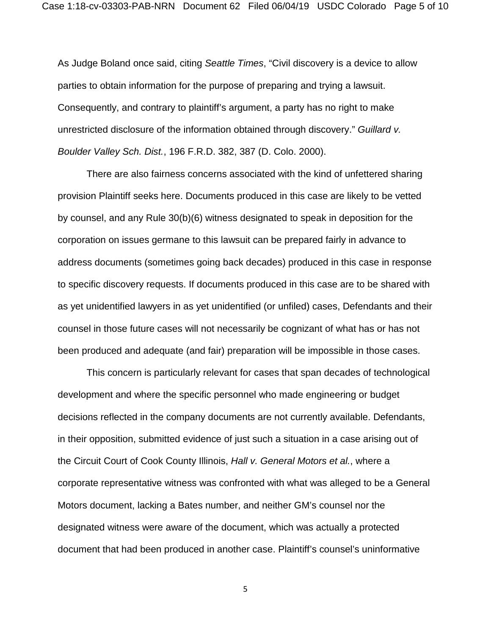As Judge Boland once said, citing *Seattle Times*, "Civil discovery is a device to allow parties to obtain information for the purpose of preparing and trying a lawsuit. Consequently, and contrary to plaintiff's argument, a party has no right to make unrestricted disclosure of the information obtained through discovery." *Guillard v. Boulder Valley Sch. Dist.*, 196 F.R.D. 382, 387 (D. Colo. 2000).

There are also fairness concerns associated with the kind of unfettered sharing provision Plaintiff seeks here. Documents produced in this case are likely to be vetted by counsel, and any Rule 30(b)(6) witness designated to speak in deposition for the corporation on issues germane to this lawsuit can be prepared fairly in advance to address documents (sometimes going back decades) produced in this case in response to specific discovery requests. If documents produced in this case are to be shared with as yet unidentified lawyers in as yet unidentified (or unfiled) cases, Defendants and their counsel in those future cases will not necessarily be cognizant of what has or has not been produced and adequate (and fair) preparation will be impossible in those cases.

This concern is particularly relevant for cases that span decades of technological development and where the specific personnel who made engineering or budget decisions reflected in the company documents are not currently available. Defendants, in their opposition, submitted evidence of just such a situation in a case arising out of the Circuit Court of Cook County Illinois, *Hall v. General Motors et al.*, where a corporate representative witness was confronted with what was alleged to be a General Motors document, lacking a Bates number, and neither GM's counsel nor the designated witness were aware of the document, which was actually a protected document that had been produced in another case. Plaintiff's counsel's uninformative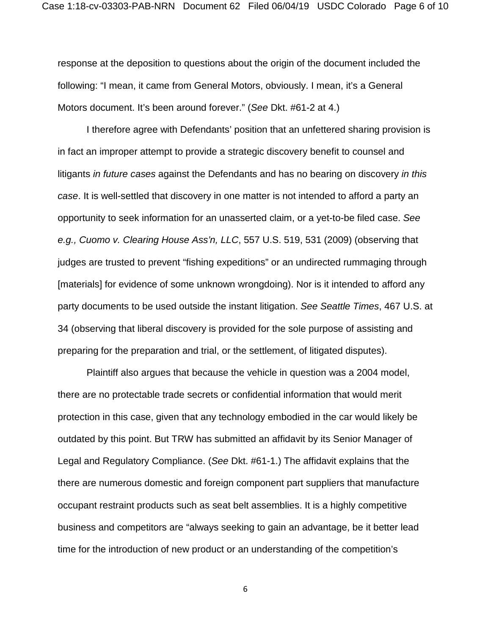response at the deposition to questions about the origin of the document included the following: "I mean, it came from General Motors, obviously. I mean, it's a General Motors document. It's been around forever." (*See* Dkt. #61-2 at 4.)

I therefore agree with Defendants' position that an unfettered sharing provision is in fact an improper attempt to provide a strategic discovery benefit to counsel and litigants *in future cases* against the Defendants and has no bearing on discovery *in this case*. It is well-settled that discovery in one matter is not intended to afford a party an opportunity to seek information for an unasserted claim, or a yet-to-be filed case. *See e.g., Cuomo v. Clearing House Ass'n, LLC*, 557 U.S. 519, 531 (2009) (observing that judges are trusted to prevent "fishing expeditions" or an undirected rummaging through [materials] for evidence of some unknown wrongdoing). Nor is it intended to afford any party documents to be used outside the instant litigation. *See Seattle Times*, 467 U.S. at 34 (observing that liberal discovery is provided for the sole purpose of assisting and preparing for the preparation and trial, or the settlement, of litigated disputes).

Plaintiff also argues that because the vehicle in question was a 2004 model, there are no protectable trade secrets or confidential information that would merit protection in this case, given that any technology embodied in the car would likely be outdated by this point. But TRW has submitted an affidavit by its Senior Manager of Legal and Regulatory Compliance. (*See* Dkt. #61-1.) The affidavit explains that the there are numerous domestic and foreign component part suppliers that manufacture occupant restraint products such as seat belt assemblies. It is a highly competitive business and competitors are "always seeking to gain an advantage, be it better lead time for the introduction of new product or an understanding of the competition's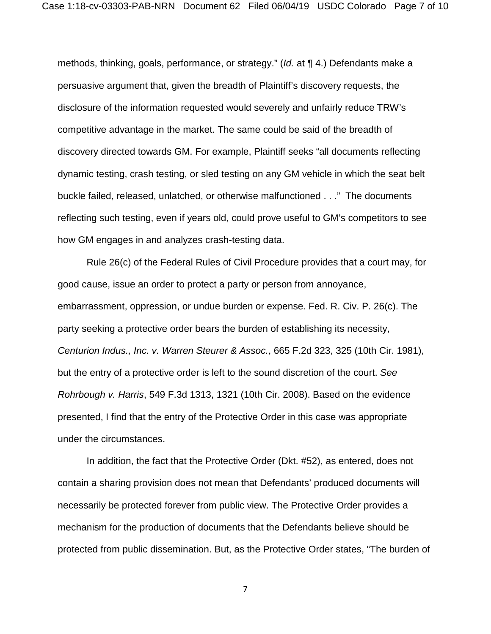methods, thinking, goals, performance, or strategy." (*Id.* at ¶ 4.) Defendants make a persuasive argument that, given the breadth of Plaintiff's discovery requests, the disclosure of the information requested would severely and unfairly reduce TRW's competitive advantage in the market. The same could be said of the breadth of discovery directed towards GM. For example, Plaintiff seeks "all documents reflecting dynamic testing, crash testing, or sled testing on any GM vehicle in which the seat belt buckle failed, released, unlatched, or otherwise malfunctioned . . ." The documents reflecting such testing, even if years old, could prove useful to GM's competitors to see how GM engages in and analyzes crash-testing data.

Rule 26(c) of the Federal Rules of Civil Procedure provides that a court may, for good cause, issue an order to protect a party or person from annoyance, embarrassment, oppression, or undue burden or expense. Fed. R. Civ. P. 26(c). The party seeking a protective order bears the burden of establishing its necessity, *Centurion Indus., Inc. v. Warren Steurer & Assoc.*, 665 F.2d 323, 325 (10th Cir. 1981), but the entry of a protective order is left to the sound discretion of the court. *See Rohrbough v. Harris*, 549 F.3d 1313, 1321 (10th Cir. 2008). Based on the evidence presented, I find that the entry of the Protective Order in this case was appropriate under the circumstances.

In addition, the fact that the Protective Order (Dkt. #52), as entered, does not contain a sharing provision does not mean that Defendants' produced documents will necessarily be protected forever from public view. The Protective Order provides a mechanism for the production of documents that the Defendants believe should be protected from public dissemination. But, as the Protective Order states, "The burden of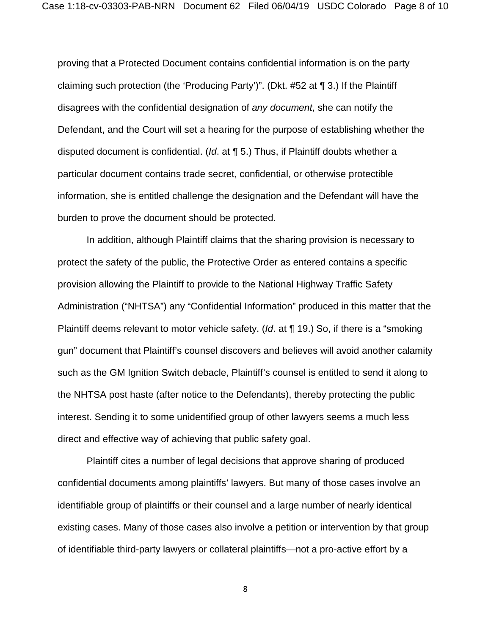proving that a Protected Document contains confidential information is on the party claiming such protection (the 'Producing Party')". (Dkt. #52 at ¶ 3.) If the Plaintiff disagrees with the confidential designation of *any document*, she can notify the Defendant, and the Court will set a hearing for the purpose of establishing whether the disputed document is confidential. (*Id*. at ¶ 5.) Thus, if Plaintiff doubts whether a particular document contains trade secret, confidential, or otherwise protectible information, she is entitled challenge the designation and the Defendant will have the burden to prove the document should be protected.

In addition, although Plaintiff claims that the sharing provision is necessary to protect the safety of the public, the Protective Order as entered contains a specific provision allowing the Plaintiff to provide to the National Highway Traffic Safety Administration ("NHTSA") any "Confidential Information" produced in this matter that the Plaintiff deems relevant to motor vehicle safety. (*Id*. at ¶ 19.) So, if there is a "smoking gun" document that Plaintiff's counsel discovers and believes will avoid another calamity such as the GM Ignition Switch debacle, Plaintiff's counsel is entitled to send it along to the NHTSA post haste (after notice to the Defendants), thereby protecting the public interest. Sending it to some unidentified group of other lawyers seems a much less direct and effective way of achieving that public safety goal.

Plaintiff cites a number of legal decisions that approve sharing of produced confidential documents among plaintiffs' lawyers. But many of those cases involve an identifiable group of plaintiffs or their counsel and a large number of nearly identical existing cases. Many of those cases also involve a petition or intervention by that group of identifiable third-party lawyers or collateral plaintiffs—not a pro-active effort by a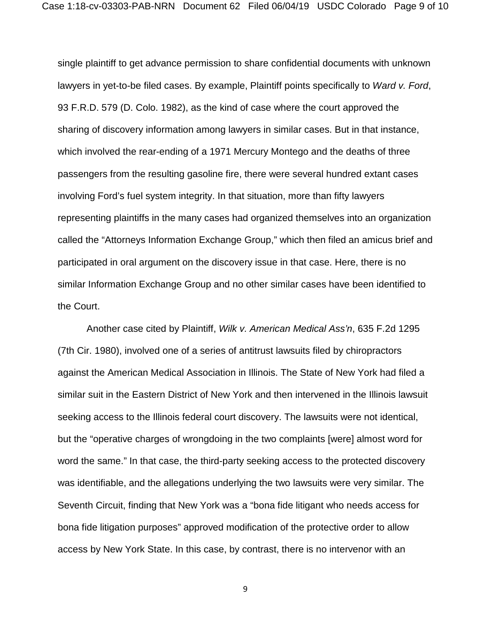single plaintiff to get advance permission to share confidential documents with unknown lawyers in yet-to-be filed cases. By example, Plaintiff points specifically to *Ward v. Ford*, 93 F.R.D. 579 (D. Colo. 1982), as the kind of case where the court approved the sharing of discovery information among lawyers in similar cases. But in that instance, which involved the rear-ending of a 1971 Mercury Montego and the deaths of three passengers from the resulting gasoline fire, there were several hundred extant cases involving Ford's fuel system integrity. In that situation, more than fifty lawyers representing plaintiffs in the many cases had organized themselves into an organization called the "Attorneys Information Exchange Group," which then filed an amicus brief and participated in oral argument on the discovery issue in that case. Here, there is no similar Information Exchange Group and no other similar cases have been identified to the Court.

Another case cited by Plaintiff, *Wilk v. American Medical Ass'n*, 635 F.2d 1295 (7th Cir. 1980), involved one of a series of antitrust lawsuits filed by chiropractors against the American Medical Association in Illinois. The State of New York had filed a similar suit in the Eastern District of New York and then intervened in the Illinois lawsuit seeking access to the Illinois federal court discovery. The lawsuits were not identical, but the "operative charges of wrongdoing in the two complaints [were] almost word for word the same." In that case, the third-party seeking access to the protected discovery was identifiable, and the allegations underlying the two lawsuits were very similar. The Seventh Circuit, finding that New York was a "bona fide litigant who needs access for bona fide litigation purposes" approved modification of the protective order to allow access by New York State. In this case, by contrast, there is no intervenor with an